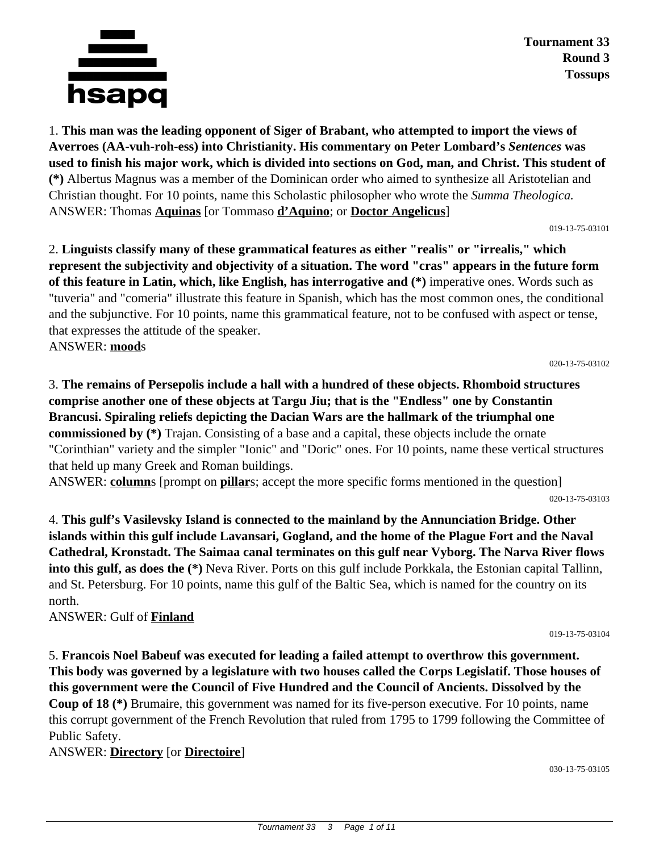

**Tournament 33 Round 3 Tossups**

1. **This man was the leading opponent of Siger of Brabant, who attempted to import the views of Averroes (AA-vuh-roh-ess) into Christianity. His commentary on Peter Lombard's** *Sentences* **was used to finish his major work, which is divided into sections on God, man, and Christ. This student of (\*)** Albertus Magnus was a member of the Dominican order who aimed to synthesize all Aristotelian and Christian thought. For 10 points, name this Scholastic philosopher who wrote the *Summa Theologica.* ANSWER: Thomas **Aquinas** [or Tommaso **d'Aquino**; or **Doctor Angelicus**]

019-13-75-03101

2. **Linguists classify many of these grammatical features as either "realis" or "irrealis," which represent the subjectivity and objectivity of a situation. The word "cras" appears in the future form of this feature in Latin, which, like English, has interrogative and (\*)** imperative ones. Words such as "tuveria" and "comeria" illustrate this feature in Spanish, which has the most common ones, the conditional and the subjunctive. For 10 points, name this grammatical feature, not to be confused with aspect or tense, that expresses the attitude of the speaker. ANSWER: **mood**s

020-13-75-03102

3. **The remains of Persepolis include a hall with a hundred of these objects. Rhomboid structures comprise another one of these objects at Targu Jiu; that is the "Endless" one by Constantin Brancusi. Spiraling reliefs depicting the Dacian Wars are the hallmark of the triumphal one commissioned by (\*)** Trajan. Consisting of a base and a capital, these objects include the ornate "Corinthian" variety and the simpler "Ionic" and "Doric" ones. For 10 points, name these vertical structures that held up many Greek and Roman buildings.

ANSWER: **column**s [prompt on **pillar**s; accept the more specific forms mentioned in the question]

020-13-75-03103

4. **This gulf's Vasilevsky Island is connected to the mainland by the Annunciation Bridge. Other islands within this gulf include Lavansari, Gogland, and the home of the Plague Fort and the Naval Cathedral, Kronstadt. The Saimaa canal terminates on this gulf near Vyborg. The Narva River flows into this gulf, as does the (\*)** Neva River. Ports on this gulf include Porkkala, the Estonian capital Tallinn, and St. Petersburg. For 10 points, name this gulf of the Baltic Sea, which is named for the country on its north.

ANSWER: Gulf of **Finland**

019-13-75-03104

5. **Francois Noel Babeuf was executed for leading a failed attempt to overthrow this government. This body was governed by a legislature with two houses called the Corps Legislatif. Those houses of this government were the Council of Five Hundred and the Council of Ancients. Dissolved by the Coup of 18 (\*)** Brumaire, this government was named for its five-person executive. For 10 points, name this corrupt government of the French Revolution that ruled from 1795 to 1799 following the Committee of Public Safety.

ANSWER: **Directory** [or **Directoire**]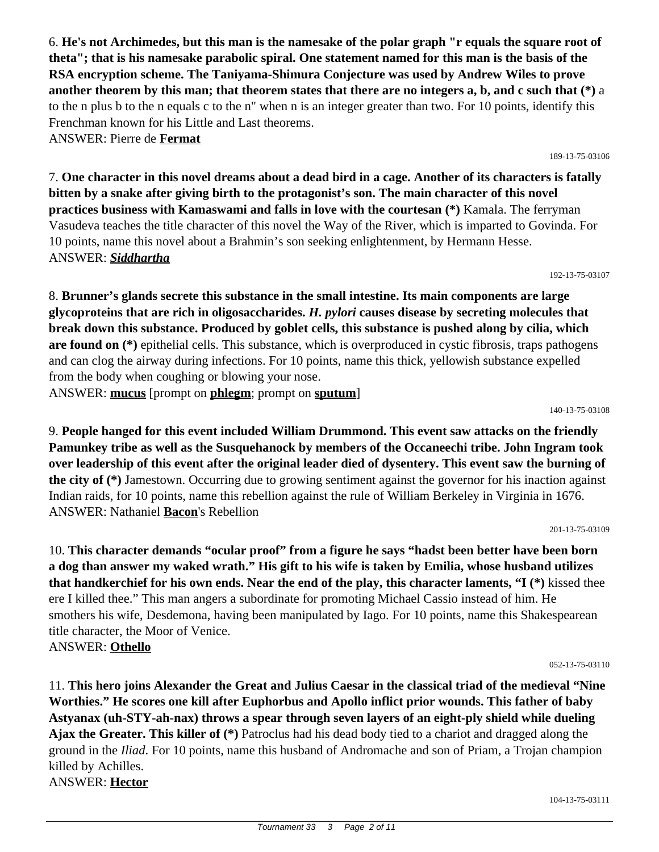6. **He's not Archimedes, but this man is the namesake of the polar graph "r equals the square root of theta"; that is his namesake parabolic spiral. One statement named for this man is the basis of the RSA encryption scheme. The Taniyama-Shimura Conjecture was used by Andrew Wiles to prove another theorem by this man; that theorem states that there are no integers a, b, and c such that (\*)** a to the n plus b to the n equals c to the n" when n is an integer greater than two. For 10 points, identify this Frenchman known for his Little and Last theorems. ANSWER: Pierre de **Fermat**

189-13-75-03106

7. **One character in this novel dreams about a dead bird in a cage. Another of its characters is fatally bitten by a snake after giving birth to the protagonist's son. The main character of this novel practices business with Kamaswami and falls in love with the courtesan (\*)** Kamala. The ferryman Vasudeva teaches the title character of this novel the Way of the River, which is imparted to Govinda. For 10 points, name this novel about a Brahmin's son seeking enlightenment, by Hermann Hesse. ANSWER: *Siddhartha*

192-13-75-03107

8. **Brunner's glands secrete this substance in the small intestine. Its main components are large glycoproteins that are rich in oligosaccharides.** *H. pylori* **causes disease by secreting molecules that break down this substance. Produced by goblet cells, this substance is pushed along by cilia, which are found on (\*)** epithelial cells. This substance, which is overproduced in cystic fibrosis, traps pathogens and can clog the airway during infections. For 10 points, name this thick, yellowish substance expelled from the body when coughing or blowing your nose.

ANSWER: **mucus** [prompt on **phlegm**; prompt on **sputum**]

140-13-75-03108

9. **People hanged for this event included William Drummond. This event saw attacks on the friendly Pamunkey tribe as well as the Susquehanock by members of the Occaneechi tribe. John Ingram took over leadership of this event after the original leader died of dysentery. This event saw the burning of the city of (\*)** Jamestown. Occurring due to growing sentiment against the governor for his inaction against Indian raids, for 10 points, name this rebellion against the rule of William Berkeley in Virginia in 1676. ANSWER: Nathaniel **Bacon**'s Rebellion

201-13-75-03109

10. **This character demands "ocular proof" from a figure he says "hadst been better have been born a dog than answer my waked wrath." His gift to his wife is taken by Emilia, whose husband utilizes that handkerchief for his own ends. Near the end of the play, this character laments, "I (\*)** kissed thee ere I killed thee." This man angers a subordinate for promoting Michael Cassio instead of him. He smothers his wife, Desdemona, having been manipulated by Iago. For 10 points, name this Shakespearean title character, the Moor of Venice. ANSWER: **Othello**

052-13-75-03110

11. **This hero joins Alexander the Great and Julius Caesar in the classical triad of the medieval "Nine Worthies." He scores one kill after Euphorbus and Apollo inflict prior wounds. This father of baby Astyanax (uh-STY-ah-nax) throws a spear through seven layers of an eight-ply shield while dueling Ajax the Greater. This killer of (\*)** Patroclus had his dead body tied to a chariot and dragged along the ground in the *Iliad*. For 10 points, name this husband of Andromache and son of Priam, a Trojan champion killed by Achilles. ANSWER: **Hector**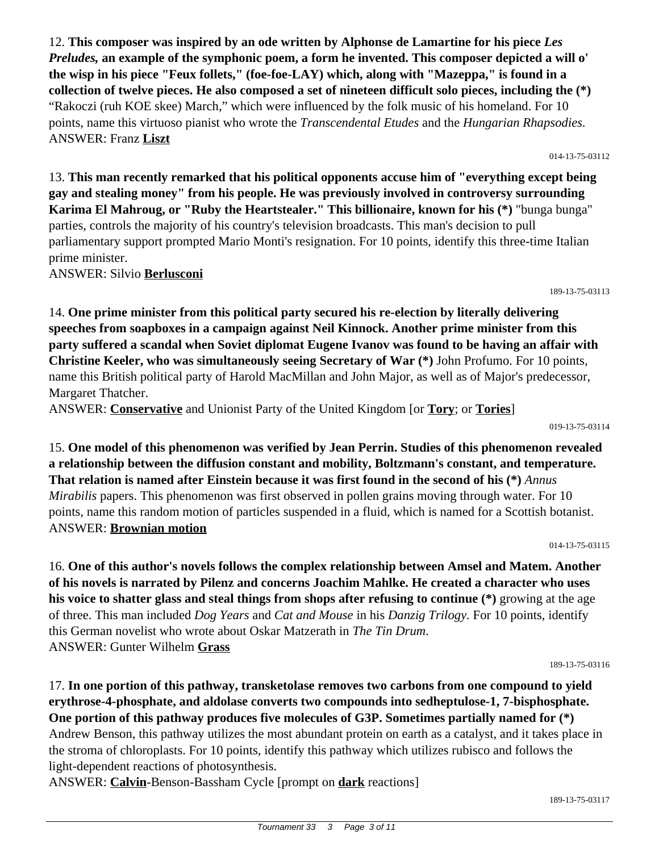12. **This composer was inspired by an ode written by Alphonse de Lamartine for his piece** *Les Preludes,* **an example of the symphonic poem, a form he invented. This composer depicted a will o' the wisp in his piece "Feux follets," (foe-foe-LAY) which, along with "Mazeppa," is found in a collection of twelve pieces. He also composed a set of nineteen difficult solo pieces, including the (\*)** "Rakoczi (ruh KOE skee) March," which were influenced by the folk music of his homeland. For 10 points, name this virtuoso pianist who wrote the *Transcendental Etudes* and the *Hungarian Rhapsodies.* ANSWER: Franz **Liszt**

13. **This man recently remarked that his political opponents accuse him of "everything except being gay and stealing money" from his people. He was previously involved in controversy surrounding Karima El Mahroug, or "Ruby the Heartstealer." This billionaire, known for his (\*)** "bunga bunga" parties, controls the majority of his country's television broadcasts. This man's decision to pull parliamentary support prompted Mario Monti's resignation. For 10 points, identify this three-time Italian prime minister.

ANSWER: Silvio **Berlusconi**

14. **One prime minister from this political party secured his re-election by literally delivering speeches from soapboxes in a campaign against Neil Kinnock. Another prime minister from this party suffered a scandal when Soviet diplomat Eugene Ivanov was found to be having an affair with Christine Keeler, who was simultaneously seeing Secretary of War (\*)** John Profumo. For 10 points, name this British political party of Harold MacMillan and John Major, as well as of Major's predecessor, Margaret Thatcher.

ANSWER: **Conservative** and Unionist Party of the United Kingdom [or **Tory**; or **Tories**]

019-13-75-03114

189-13-75-03113

15. **One model of this phenomenon was verified by Jean Perrin. Studies of this phenomenon revealed a relationship between the diffusion constant and mobility, Boltzmann's constant, and temperature. That relation is named after Einstein because it was first found in the second of his (\*)** *Annus Mirabilis* papers. This phenomenon was first observed in pollen grains moving through water. For 10 points, name this random motion of particles suspended in a fluid, which is named for a Scottish botanist. ANSWER: **Brownian motion**

014-13-75-03115

16. **One of this author's novels follows the complex relationship between Amsel and Matem. Another of his novels is narrated by Pilenz and concerns Joachim Mahlke. He created a character who uses his voice to shatter glass and steal things from shops after refusing to continue (\*)** growing at the age of three. This man included *Dog Years* and *Cat and Mouse* in his *Danzig Trilogy.* For 10 points, identify this German novelist who wrote about Oskar Matzerath in *The Tin Drum*. ANSWER: Gunter Wilhelm **Grass**

189-13-75-03116

189-13-75-03117

17. **In one portion of this pathway, transketolase removes two carbons from one compound to yield erythrose-4-phosphate, and aldolase converts two compounds into sedheptulose-1, 7-bisphosphate. One portion of this pathway produces five molecules of G3P. Sometimes partially named for (\*)** Andrew Benson, this pathway utilizes the most abundant protein on earth as a catalyst, and it takes place in the stroma of chloroplasts. For 10 points, identify this pathway which utilizes rubisco and follows the light-dependent reactions of photosynthesis.

ANSWER: **Calvin**-Benson-Bassham Cycle [prompt on **dark** reactions]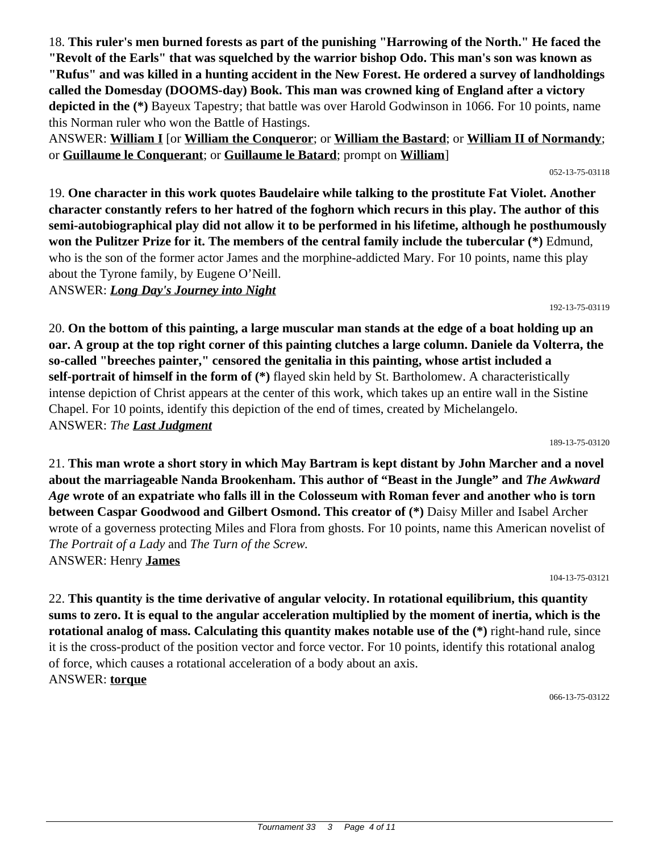18. **This ruler's men burned forests as part of the punishing "Harrowing of the North." He faced the "Revolt of the Earls" that was squelched by the warrior bishop Odo. This man's son was known as "Rufus" and was killed in a hunting accident in the New Forest. He ordered a survey of landholdings called the Domesday (DOOMS-day) Book. This man was crowned king of England after a victory depicted in the (\*)** Bayeux Tapestry; that battle was over Harold Godwinson in 1066. For 10 points, name this Norman ruler who won the Battle of Hastings.

ANSWER: **William I** [or **William the Conqueror**; or **William the Bastard**; or **William II of Normandy**; or **Guillaume le Conquerant**; or **Guillaume le Batard**; prompt on **William**]

19. **One character in this work quotes Baudelaire while talking to the prostitute Fat Violet. Another character constantly refers to her hatred of the foghorn which recurs in this play. The author of this semi-autobiographical play did not allow it to be performed in his lifetime, although he posthumously won the Pulitzer Prize for it. The members of the central family include the tubercular (\*)** Edmund, who is the son of the former actor James and the morphine-addicted Mary. For 10 points, name this play about the Tyrone family, by Eugene O'Neill.

ANSWER: *Long Day's Journey into Night*

20. **On the bottom of this painting, a large muscular man stands at the edge of a boat holding up an oar. A group at the top right corner of this painting clutches a large column. Daniele da Volterra, the so-called "breeches painter," censored the genitalia in this painting, whose artist included a self-portrait of himself in the form of (\*)** flayed skin held by St. Bartholomew. A characteristically intense depiction of Christ appears at the center of this work, which takes up an entire wall in the Sistine Chapel. For 10 points, identify this depiction of the end of times, created by Michelangelo. ANSWER: *The Last Judgment*

21. **This man wrote a short story in which May Bartram is kept distant by John Marcher and a novel about the marriageable Nanda Brookenham. This author of "Beast in the Jungle" and** *The Awkward Age* **wrote of an expatriate who falls ill in the Colosseum with Roman fever and another who is torn between Caspar Goodwood and Gilbert Osmond. This creator of (\*)** Daisy Miller and Isabel Archer wrote of a governess protecting Miles and Flora from ghosts. For 10 points, name this American novelist of *The Portrait of a Lady* and *The Turn of the Screw.* ANSWER: Henry **James**

104-13-75-03121

22. **This quantity is the time derivative of angular velocity. In rotational equilibrium, this quantity sums to zero. It is equal to the angular acceleration multiplied by the moment of inertia, which is the rotational analog of mass. Calculating this quantity makes notable use of the (\*)** right-hand rule, since it is the cross-product of the position vector and force vector. For 10 points, identify this rotational analog of force, which causes a rotational acceleration of a body about an axis. ANSWER: **torque**

066-13-75-03122

189-13-75-03120

192-13-75-03119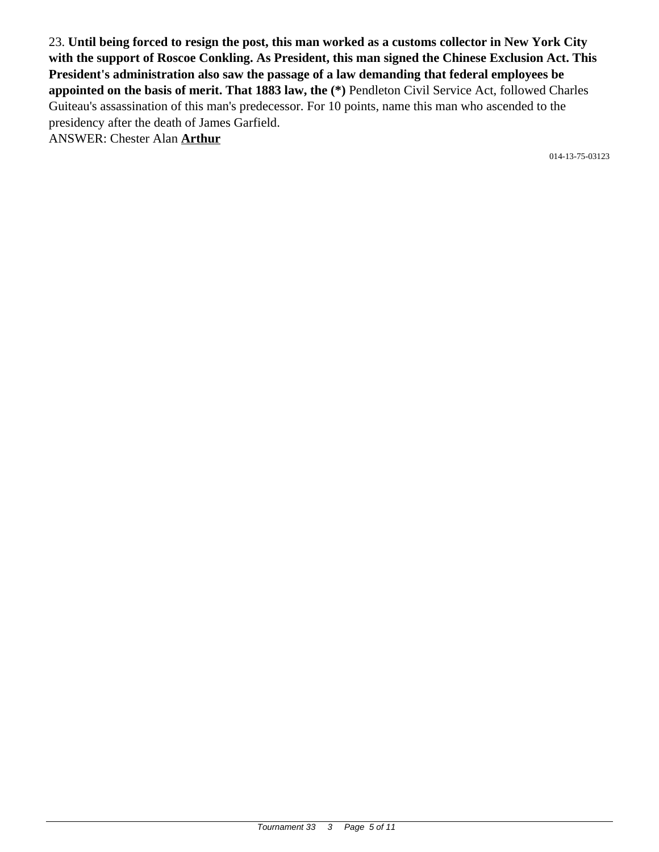23. **Until being forced to resign the post, this man worked as a customs collector in New York City with the support of Roscoe Conkling. As President, this man signed the Chinese Exclusion Act. This President's administration also saw the passage of a law demanding that federal employees be appointed on the basis of merit. That 1883 law, the (\*)** Pendleton Civil Service Act, followed Charles Guiteau's assassination of this man's predecessor. For 10 points, name this man who ascended to the presidency after the death of James Garfield. ANSWER: Chester Alan **Arthur**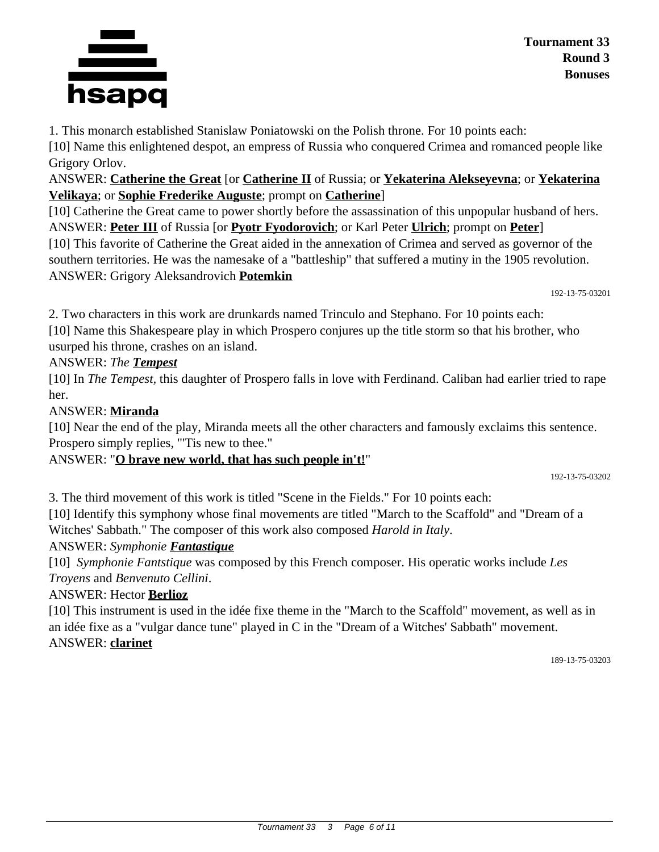

1. This monarch established Stanislaw Poniatowski on the Polish throne. For 10 points each:

[10] Name this enlightened despot, an empress of Russia who conquered Crimea and romanced people like Grigory Orlov.

ANSWER: **Catherine the Great** [or **Catherine II** of Russia; or **Yekaterina Alekseyevna**; or **Yekaterina Velikaya**; or **Sophie Frederike Auguste**; prompt on **Catherine**]

[10] Catherine the Great came to power shortly before the assassination of this unpopular husband of hers. ANSWER: **Peter III** of Russia [or **Pyotr Fyodorovich**; or Karl Peter **Ulrich**; prompt on **Peter**]

[10] This favorite of Catherine the Great aided in the annexation of Crimea and served as governor of the southern territories. He was the namesake of a "battleship" that suffered a mutiny in the 1905 revolution. ANSWER: Grigory Aleksandrovich **Potemkin**

192-13-75-03201

2. Two characters in this work are drunkards named Trinculo and Stephano. For 10 points each:

[10] Name this Shakespeare play in which Prospero conjures up the title storm so that his brother, who usurped his throne, crashes on an island.

#### ANSWER: *The Tempest*

[10] In *The Tempest,* this daughter of Prospero falls in love with Ferdinand. Caliban had earlier tried to rape her.

#### ANSWER: **Miranda**

[10] Near the end of the play, Miranda meets all the other characters and famously exclaims this sentence. Prospero simply replies, "'Tis new to thee."

#### ANSWER: "**O brave new world, that has such people in't!**"

192-13-75-03202

3. The third movement of this work is titled "Scene in the Fields." For 10 points each:

[10] Identify this symphony whose final movements are titled "March to the Scaffold" and "Dream of a Witches' Sabbath." The composer of this work also composed *Harold in Italy*.

#### ANSWER: *Symphonie Fantastique*

[10] *Symphonie Fantstique* was composed by this French composer. His operatic works include *Les Troyens* and *Benvenuto Cellini*.

#### ANSWER: Hector **Berlioz**

[10] This instrument is used in the idée fixe theme in the "March to the Scaffold" movement, as well as in an idée fixe as a "vulgar dance tune" played in C in the "Dream of a Witches' Sabbath" movement. ANSWER: **clarinet**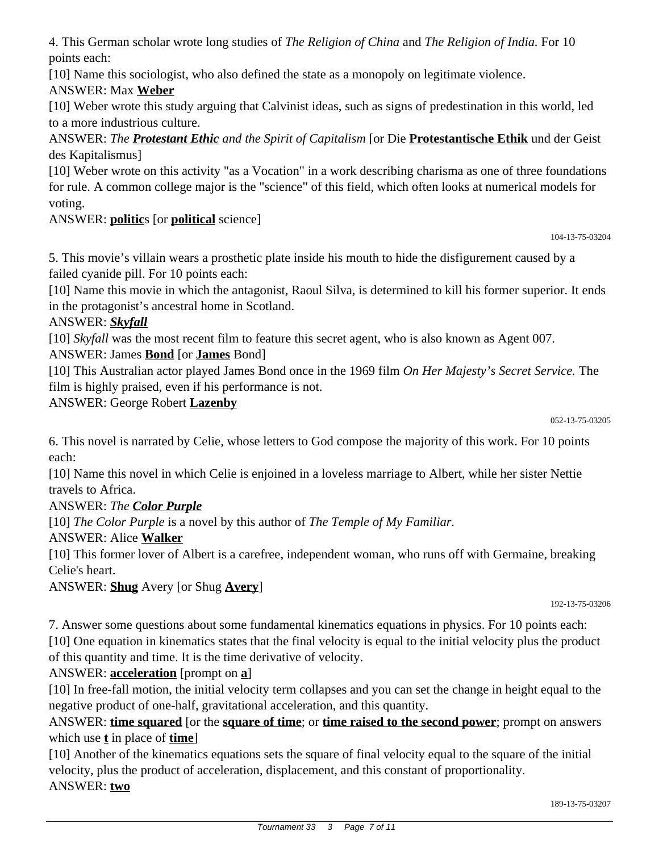4. This German scholar wrote long studies of *The Religion of China* and *The Religion of India.* For 10 points each:

[10] Name this sociologist, who also defined the state as a monopoly on legitimate violence.

## ANSWER: Max **Weber**

[10] Weber wrote this study arguing that Calvinist ideas, such as signs of predestination in this world, led to a more industrious culture.

ANSWER: *The Protestant Ethic and the Spirit of Capitalism* [or Die **Protestantische Ethik** und der Geist des Kapitalismus]

[10] Weber wrote on this activity "as a Vocation" in a work describing charisma as one of three foundations for rule. A common college major is the "science" of this field, which often looks at numerical models for voting.

# ANSWER: **politic**s [or **political** science]

104-13-75-03204

5. This movie's villain wears a prosthetic plate inside his mouth to hide the disfigurement caused by a failed cyanide pill. For 10 points each:

[10] Name this movie in which the antagonist, Raoul Silva, is determined to kill his former superior. It ends in the protagonist's ancestral home in Scotland.

## ANSWER: *Skyfall*

[10] *Skyfall* was the most recent film to feature this secret agent, who is also known as Agent 007.

ANSWER: James **Bond** [or **James** Bond]

[10] This Australian actor played James Bond once in the 1969 film *On Her Majesty's Secret Service.* The film is highly praised, even if his performance is not.

ANSWER: George Robert **Lazenby**

052-13-75-03205

6. This novel is narrated by Celie, whose letters to God compose the majority of this work. For 10 points each:

[10] Name this novel in which Celie is enjoined in a loveless marriage to Albert, while her sister Nettie travels to Africa.

## ANSWER: *The Color Purple*

[10] *The Color Purple* is a novel by this author of *The Temple of My Familiar.*

## ANSWER: Alice **Walker**

[10] This former lover of Albert is a carefree, independent woman, who runs off with Germaine, breaking Celie's heart.

ANSWER: **Shug** Avery [or Shug **Avery**]

192-13-75-03206

7. Answer some questions about some fundamental kinematics equations in physics. For 10 points each: [10] One equation in kinematics states that the final velocity is equal to the initial velocity plus the product of this quantity and time. It is the time derivative of velocity.

## ANSWER: **acceleration** [prompt on **a**]

[10] In free-fall motion, the initial velocity term collapses and you can set the change in height equal to the negative product of one-half, gravitational acceleration, and this quantity.

ANSWER: **time squared** [or the **square of time**; or **time raised to the second power**; prompt on answers which use **t** in place of **time**]

[10] Another of the kinematics equations sets the square of final velocity equal to the square of the initial velocity, plus the product of acceleration, displacement, and this constant of proportionality. ANSWER: **two**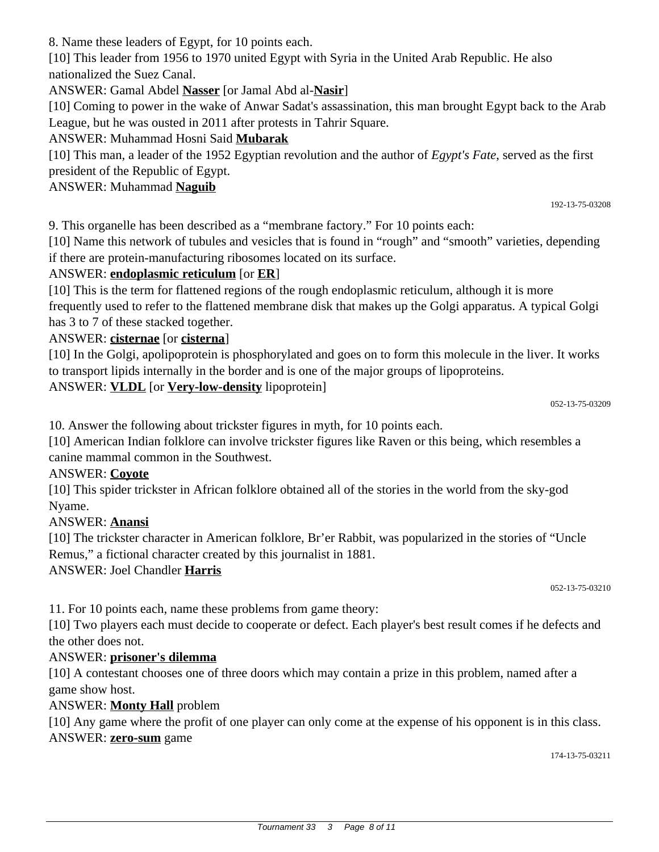8. Name these leaders of Egypt, for 10 points each.

[10] This leader from 1956 to 1970 united Egypt with Syria in the United Arab Republic. He also nationalized the Suez Canal.

ANSWER: Gamal Abdel **Nasser** [or Jamal Abd al-**Nasir**]

[10] Coming to power in the wake of Anwar Sadat's assassination, this man brought Egypt back to the Arab League, but he was ousted in 2011 after protests in Tahrir Square.

## ANSWER: Muhammad Hosni Said **Mubarak**

[10] This man, a leader of the 1952 Egyptian revolution and the author of *Egypt's Fate*, served as the first president of the Republic of Egypt.

## ANSWER: Muhammad **Naguib**

9. This organelle has been described as a "membrane factory." For 10 points each:

[10] Name this network of tubules and vesicles that is found in "rough" and "smooth" varieties, depending if there are protein-manufacturing ribosomes located on its surface.

## ANSWER: **endoplasmic reticulum** [or **ER**]

[10] This is the term for flattened regions of the rough endoplasmic reticulum, although it is more frequently used to refer to the flattened membrane disk that makes up the Golgi apparatus. A typical Golgi has 3 to 7 of these stacked together.

## ANSWER: **cisternae** [or **cisterna**]

[10] In the Golgi, apolipoprotein is phosphorylated and goes on to form this molecule in the liver. It works to transport lipids internally in the border and is one of the major groups of lipoproteins.

## ANSWER: **VLDL** [or **Very-low-density** lipoprotein]

052-13-75-03209

192-13-75-03208

10. Answer the following about trickster figures in myth, for 10 points each.

[10] American Indian folklore can involve trickster figures like Raven or this being, which resembles a canine mammal common in the Southwest.

#### ANSWER: **Coyote**

[10] This spider trickster in African folklore obtained all of the stories in the world from the sky-god Nyame.

#### ANSWER: **Anansi**

[10] The trickster character in American folklore, Br'er Rabbit, was popularized in the stories of "Uncle" Remus," a fictional character created by this journalist in 1881.

#### ANSWER: Joel Chandler **Harris**

052-13-75-03210

11. For 10 points each, name these problems from game theory:

[10] Two players each must decide to cooperate or defect. Each player's best result comes if he defects and the other does not.

#### ANSWER: **prisoner's dilemma**

[10] A contestant chooses one of three doors which may contain a prize in this problem, named after a game show host.

#### ANSWER: **Monty Hall** problem

[10] Any game where the profit of one player can only come at the expense of his opponent is in this class. ANSWER: **zero-sum** game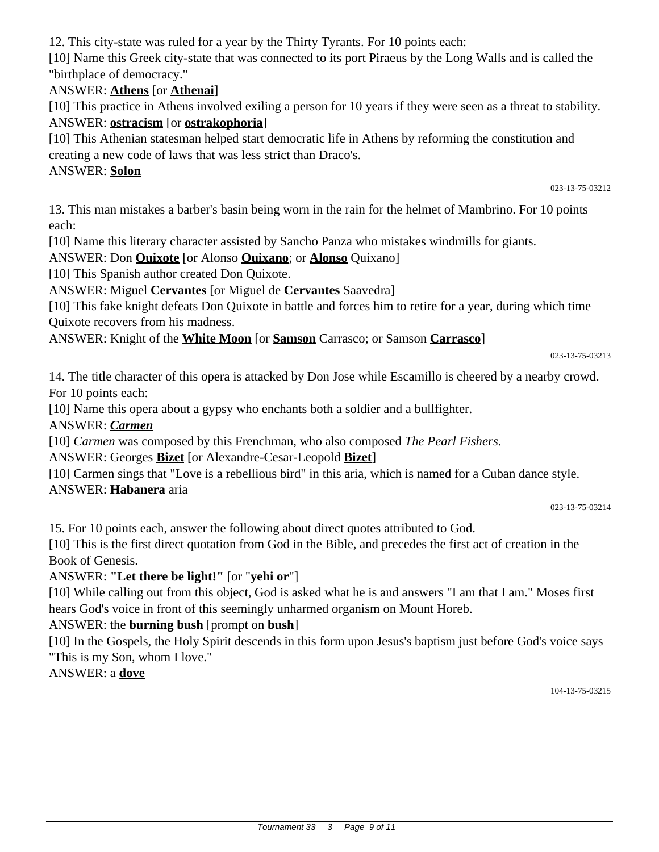Tournament 33 3 Page 9 of 11

12. This city-state was ruled for a year by the Thirty Tyrants. For 10 points each:

[10] Name this Greek city-state that was connected to its port Piraeus by the Long Walls and is called the "birthplace of democracy."

#### ANSWER: **Athens** [or **Athenai**]

[10] This practice in Athens involved exiling a person for 10 years if they were seen as a threat to stability. ANSWER: **ostracism** [or **ostrakophoria**]

[10] This Athenian statesman helped start democratic life in Athens by reforming the constitution and creating a new code of laws that was less strict than Draco's.

#### ANSWER: **Solon**

023-13-75-03212

13. This man mistakes a barber's basin being worn in the rain for the helmet of Mambrino. For 10 points each:

[10] Name this literary character assisted by Sancho Panza who mistakes windmills for giants.

ANSWER: Don **Quixote** [or Alonso **Quixano**; or **Alonso** Quixano]

[10] This Spanish author created Don Quixote.

ANSWER: Miguel **Cervantes** [or Miguel de **Cervantes** Saavedra]

[10] This fake knight defeats Don Quixote in battle and forces him to retire for a year, during which time Quixote recovers from his madness.

ANSWER: Knight of the **White Moon** [or **Samson** Carrasco; or Samson **Carrasco**]

023-13-75-03213

14. The title character of this opera is attacked by Don Jose while Escamillo is cheered by a nearby crowd. For 10 points each:

[10] Name this opera about a gypsy who enchants both a soldier and a bullfighter.

ANSWER: *Carmen*

[10] *Carmen* was composed by this Frenchman, who also composed *The Pearl Fishers*.

ANSWER: Georges **Bizet** [or Alexandre-Cesar-Leopold **Bizet**]

[10] Carmen sings that "Love is a rebellious bird" in this aria, which is named for a Cuban dance style. ANSWER: **Habanera** aria

023-13-75-03214

15. For 10 points each, answer the following about direct quotes attributed to God.

[10] This is the first direct quotation from God in the Bible, and precedes the first act of creation in the Book of Genesis.

#### ANSWER: **"Let there be light!"** [or "**yehi or**"]

[10] While calling out from this object, God is asked what he is and answers "I am that I am." Moses first hears God's voice in front of this seemingly unharmed organism on Mount Horeb.

#### ANSWER: the **burning bush** [prompt on **bush**]

[10] In the Gospels, the Holy Spirit descends in this form upon Jesus's baptism just before God's voice says "This is my Son, whom I love."

#### ANSWER: a **dove**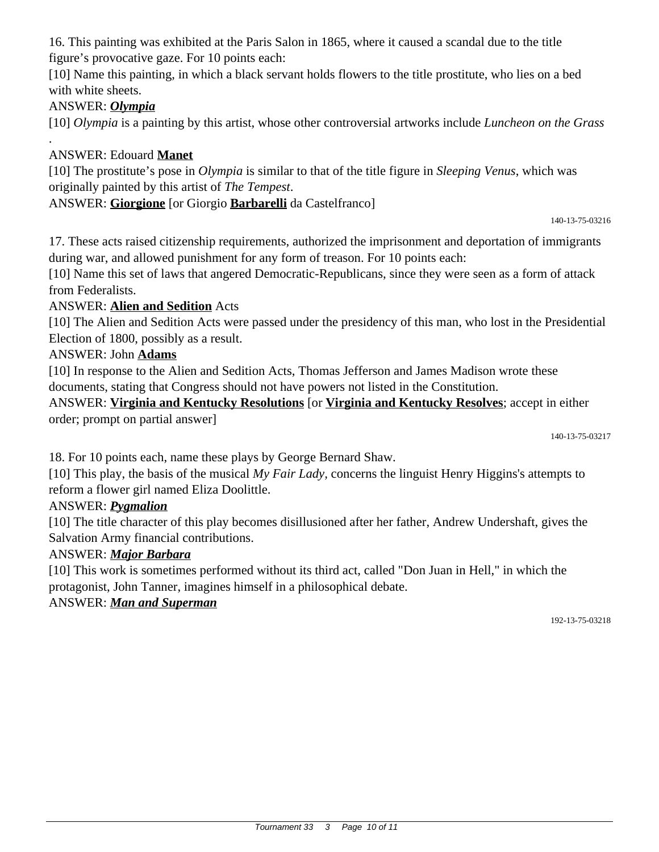16. This painting was exhibited at the Paris Salon in 1865, where it caused a scandal due to the title figure's provocative gaze. For 10 points each:

[10] Name this painting, in which a black servant holds flowers to the title prostitute, who lies on a bed with white sheets.

## ANSWER: *Olympia*

.

[10] *Olympia* is a painting by this artist, whose other controversial artworks include *Luncheon on the Grass*

## ANSWER: Edouard **Manet**

[10] The prostitute's pose in *Olympia* is similar to that of the title figure in *Sleeping Venus*, which was originally painted by this artist of *The Tempest*.

#### ANSWER: **Giorgione** [or Giorgio **Barbarelli** da Castelfranco]

140-13-75-03216

17. These acts raised citizenship requirements, authorized the imprisonment and deportation of immigrants during war, and allowed punishment for any form of treason. For 10 points each:

[10] Name this set of laws that angered Democratic-Republicans, since they were seen as a form of attack from Federalists.

#### ANSWER: **Alien and Sedition** Acts

[10] The Alien and Sedition Acts were passed under the presidency of this man, who lost in the Presidential Election of 1800, possibly as a result.

#### ANSWER: John **Adams**

[10] In response to the Alien and Sedition Acts, Thomas Jefferson and James Madison wrote these documents, stating that Congress should not have powers not listed in the Constitution.

ANSWER: **Virginia and Kentucky Resolutions** [or **Virginia and Kentucky Resolves**; accept in either order; prompt on partial answer]

140-13-75-03217

18. For 10 points each, name these plays by George Bernard Shaw.

[10] This play, the basis of the musical *My Fair Lady,* concerns the linguist Henry Higgins's attempts to reform a flower girl named Eliza Doolittle.

#### ANSWER: *Pygmalion*

[10] The title character of this play becomes disillusioned after her father, Andrew Undershaft, gives the Salvation Army financial contributions.

#### ANSWER: *Major Barbara*

[10] This work is sometimes performed without its third act, called "Don Juan in Hell," in which the protagonist, John Tanner, imagines himself in a philosophical debate.

#### ANSWER: *Man and Superman*